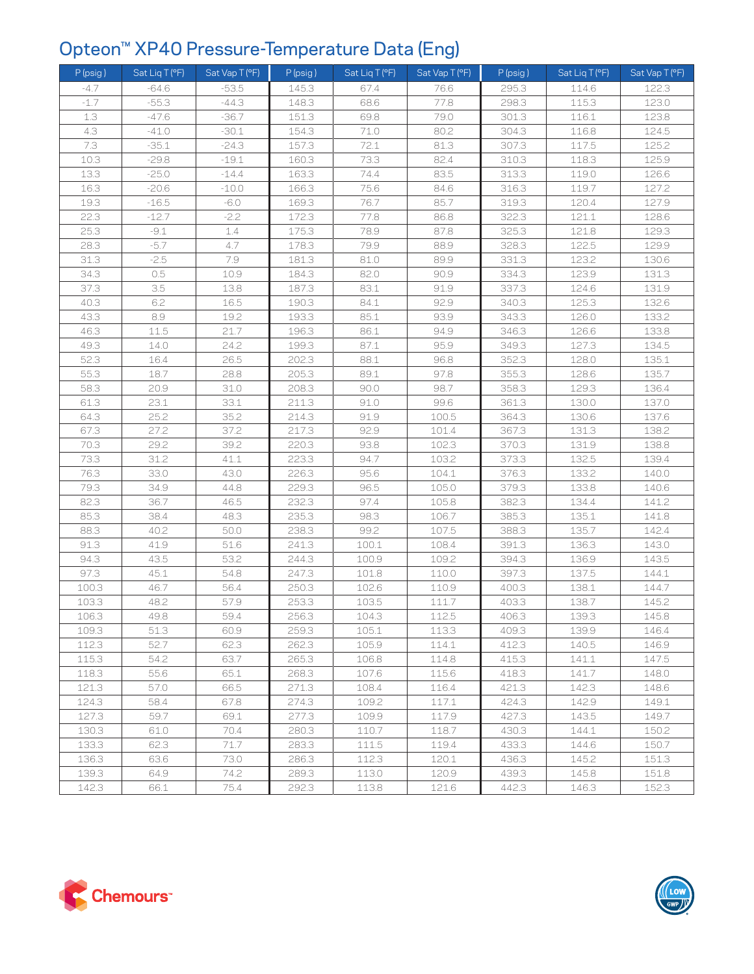## Opteon™ XP40 Pressure-Temperature Data (Eng)

| $P$ (psig) | Sat Liq T (°F) | Sat Vap T (°F) | P (psig) | Sat Liq T (°F) | Sat Vap T (°F) | $P$ (psig) | Sat Liq T (°F) | Sat Vap T (°F) |
|------------|----------------|----------------|----------|----------------|----------------|------------|----------------|----------------|
| $-4.7$     | $-64.6$        | $-53.5$        | 145.3    | 67.4           | 76.6           | 295.3      | 114.6          | 122.3          |
| $-1.7$     | $-55.3$        | $-44.3$        | 148.3    | 68.6           | 77.8           | 298.3      | 115.3          | 123.0          |
| 1.3        | $-47.6$        | $-36.7$        | 151.3    | 69.8           | 79.0           | 301.3      | 116.1          | 123.8          |
| 4.3        | $-41.0$        | $-30.1$        | 154.3    | 71.0           | 80.2           | 304.3      | 116.8          | 124.5          |
| 7.3        | $-35.1$        | $-24.3$        | 157.3    | 72.1           | 81.3           | 307.3      | 117.5          | 125.2          |
| 10.3       | $-29.8$        | $-19.1$        | 160.3    | 73.3           | 82.4           | 310.3      | 118.3          | 125.9          |
| 13.3       | $-25.0$        | $-14.4$        | 163.3    | 74.4           | 83.5           | 313.3      | 119.0          | 126.6          |
| 16.3       | $-20.6$        | $-10.0$        | 166.3    | 75.6           | 84.6           | 316.3      | 119.7          | 127.2          |
| 19.3       | $-16.5$        | $-6.0$         | 169.3    | 76.7           | 85.7           | 319.3      | 120.4          | 127.9          |
| 22.3       | $-12.7$        | $-2.2$         | 172.3    | 77.8           | 86.8           | 322.3      | 121.1          | 128.6          |
| 25.3       | $-9.1$         | 1.4            | 175.3    | 78.9           | 87.8           | 325.3      | 121.8          | 129.3          |
| 28.3       | $-5.7$         | 4.7            | 178.3    | 79.9           | 88.9           | 328.3      | 122.5          | 129.9          |
| 31.3       | $-2.5$         | 7.9            | 181.3    | 81.0           | 89.9           | 331.3      | 123.2          | 130.6          |
| 34.3       | 0.5            | 10.9           | 184.3    | 82.0           | 90.9           | 334.3      | 123.9          | 131.3          |
| 37.3       | 3.5            | 13.8           | 187.3    | 83.1           | 91.9           | 337.3      | 124.6          | 131.9          |
| 40.3       | 6.2            | 16.5           | 190.3    | 84.1           | 92.9           | 340.3      | 125.3          | 132.6          |
| 43.3       | 8.9            | 19.2           | 193.3    | 85.1           | 93.9           | 343.3      | 126.0          | 133.2          |
| 46.3       | 11.5           | 21.7           | 196.3    | 86.1           | 94.9           | 346.3      | 126.6          | 133.8          |
| 49.3       | 14.0           | 24.2           | 199.3    | 87.1           | 95.9           | 349.3      | 127.3          | 134.5          |
| 52.3       | 16.4           | 26.5           | 202.3    | 88.1           | 96.8           | 352.3      | 128.0          | 135.1          |
| 55.3       | 18.7           | 28.8           | 205.3    | 89.1           | 97.8           | 355.3      | 128.6          | 135.7          |
| 58.3       | 20.9           | 31.0           | 208.3    | 90.0           | 98.7           | 358.3      | 129.3          | 136.4          |
| 61.3       | 23.1           | 33.1           | 211.3    | 91.0           | 99.6           | 361.3      | 130.0          | 137.0          |
| 64.3       | 25.2           | 35.2           | 214.3    | 91.9           | 100.5          | 364.3      | 130.6          | 137.6          |
| 67.3       | 27.2           | 37.2           | 217.3    | 92.9           | 101.4          | 367.3      | 131.3          | 138.2          |
| 70.3       | 29.2           | 39.2           | 220.3    | 93.8           | 102.3          | 370.3      | 131.9          | 138.8          |
| 73.3       | 31.2           | 41.1           | 223.3    | 94.7           | 103.2          | 373.3      | 132.5          | 139.4          |
| 76.3       | 33.0           | 43.0           | 226.3    | 95.6           | 104.1          | 376.3      | 133.2          | 140.0          |
| 79.3       | 34.9           | 44.8           | 229.3    | 96.5           | 105.0          | 379.3      | 133.8          | 140.6          |
| 82.3       | 36.7           | 46.5           | 232.3    | 97.4           | 105.8          | 382.3      | 134.4          | 141.2          |
| 85.3       | 38.4           | 48.3           | 235.3    | 98.3           | 106.7          | 385.3      | 135.1          | 141.8          |
| 88.3       | 40.2           | 50.0           | 238.3    | 99.2           | 107.5          | 388.3      | 135.7          | 142.4          |
| 91.3       | 41.9           | 51.6           | 241.3    | 100.1          | 108.4          | 391.3      | 136.3          | 143.0          |
| 94.3       | 43.5           | 53.2           | 244.3    | 100.9          | 109.2          | 394.3      | 136.9          | 143.5          |
| 97.3       | 45.1           | 54.8           | 247.3    | 101.8          | 110.0          | 397.3      | 137.5          | 144.1          |
| 100.3      | 46.7           | 56.4           | 250.3    | 102.6          | 110.9          | 400.3      | 138.1          | 144.7          |
| 103.3      | 48.2           | 57.9           | 253.3    | 103.5          | 111.7          | 403.3      | 138.7          | 145.2          |
| 106.3      | 49.8           | 59.4           | 256.3    | 104.3          | 112.5          | 406.3      | 139.3          | 145.8          |
| 109.3      | 51.3           | 60.9           | 259.3    | 105.1          | 113.3          | 409.3      | 139.9          | 146.4          |
| 112.3      | 52.7           | 62.3           | 262.3    | 105.9          | 114.1          | 412.3      | 140.5          | 146.9          |
| 115.3      | 54.2           | 63.7           | 265.3    | 106.8          | 114.8          | 415.3      | 141.1          | 147.5          |
| 118.3      | 55.6           | 65.1           | 268.3    | 107.6          | 115.6          | 418.3      | 141.7          | 148.0          |
| 121.3      | 57.0           | 66.5           | 271.3    | 108.4          | 116.4          | 421.3      | 142.3          | 148.6          |
| 124.3      | 58.4           | 67.8           | 274.3    | 109.2          | 117.1          | 424.3      | 142.9          | 149.1          |
| 127.3      | 59.7           | 69.1           | 277.3    | 109.9          | 117.9          | 427.3      | 143.5          | 149.7          |
| 130.3      | 61.0           | 70.4           | 280.3    | 110.7          | 118.7          | 430.3      | 144.1          | 150.2          |
| 133.3      | 62.3           | 71.7           | 283.3    | 111.5          | 119.4          | 433.3      | 144.6          | 150.7          |
| 136.3      | 63.6           | 73.0           | 286.3    | 112.3          | 120.1          | 436.3      | 145.2          | 151.3          |
| 139.3      | 64.9           | 74.2           | 289.3    | 113.0          | 120.9          | 439.3      | 145.8          | 151.8          |
| 142.3      | 66.1           | 75.4           | 292.3    | 113.8          | 121.6          | 442.3      | 146.3          | 152.3          |